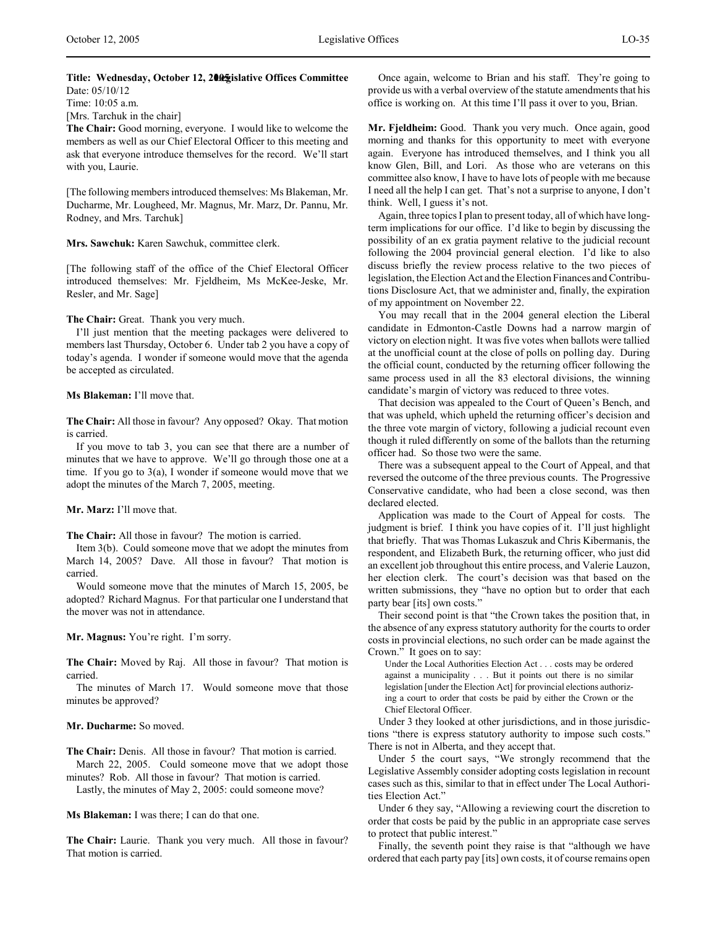# Title: Wednesday, October 12, 2005 islative Offices Committee Date: 05/10/12

Time: 10:05 a.m. [Mrs. Tarchuk in the chair]

**The Chair:** Good morning, everyone. I would like to welcome the members as well as our Chief Electoral Officer to this meeting and ask that everyone introduce themselves for the record. We'll start with you, Laurie.

[The following members introduced themselves: Ms Blakeman, Mr. Ducharme, Mr. Lougheed, Mr. Magnus, Mr. Marz, Dr. Pannu, Mr. Rodney, and Mrs. Tarchuk]

**Mrs. Sawchuk:** Karen Sawchuk, committee clerk.

[The following staff of the office of the Chief Electoral Officer introduced themselves: Mr. Fjeldheim, Ms McKee-Jeske, Mr. Resler, and Mr. Sage]

**The Chair:** Great. Thank you very much.

I'll just mention that the meeting packages were delivered to members last Thursday, October 6. Under tab 2 you have a copy of today's agenda. I wonder if someone would move that the agenda be accepted as circulated.

#### **Ms Blakeman:** I'll move that.

**The Chair:** All those in favour? Any opposed? Okay. That motion is carried.

If you move to tab 3, you can see that there are a number of minutes that we have to approve. We'll go through those one at a time. If you go to 3(a), I wonder if someone would move that we adopt the minutes of the March 7, 2005, meeting.

# **Mr. Marz:** I'll move that.

**The Chair:** All those in favour? The motion is carried.

Item 3(b). Could someone move that we adopt the minutes from March 14, 2005? Dave. All those in favour? That motion is carried.

Would someone move that the minutes of March 15, 2005, be adopted? Richard Magnus. For that particular one I understand that the mover was not in attendance.

**Mr. Magnus:** You're right. I'm sorry.

**The Chair:** Moved by Raj. All those in favour? That motion is carried.

The minutes of March 17. Would someone move that those minutes be approved?

# **Mr. Ducharme:** So moved.

**The Chair:** Denis. All those in favour? That motion is carried. March 22, 2005. Could someone move that we adopt those

minutes? Rob. All those in favour? That motion is carried.

Lastly, the minutes of May 2, 2005: could someone move?

**Ms Blakeman:** I was there; I can do that one.

**The Chair:** Laurie. Thank you very much. All those in favour? That motion is carried.

Once again, welcome to Brian and his staff. They're going to provide us with a verbal overview of the statute amendments that his office is working on. At this time I'll pass it over to you, Brian.

**Mr. Fjeldheim:** Good. Thank you very much. Once again, good morning and thanks for this opportunity to meet with everyone again. Everyone has introduced themselves, and I think you all know Glen, Bill, and Lori. As those who are veterans on this committee also know, I have to have lots of people with me because I need all the help I can get. That's not a surprise to anyone, I don't think. Well, I guess it's not.

Again, three topics I plan to present today, all of which have longterm implications for our office. I'd like to begin by discussing the possibility of an ex gratia payment relative to the judicial recount following the 2004 provincial general election. I'd like to also discuss briefly the review process relative to the two pieces of legislation, the Election Act and the Election Finances and Contributions Disclosure Act, that we administer and, finally, the expiration of my appointment on November 22.

You may recall that in the 2004 general election the Liberal candidate in Edmonton-Castle Downs had a narrow margin of victory on election night. It was five votes when ballots were tallied at the unofficial count at the close of polls on polling day. During the official count, conducted by the returning officer following the same process used in all the 83 electoral divisions, the winning candidate's margin of victory was reduced to three votes.

That decision was appealed to the Court of Queen's Bench, and that was upheld, which upheld the returning officer's decision and the three vote margin of victory, following a judicial recount even though it ruled differently on some of the ballots than the returning officer had. So those two were the same.

There was a subsequent appeal to the Court of Appeal, and that reversed the outcome of the three previous counts. The Progressive Conservative candidate, who had been a close second, was then declared elected.

Application was made to the Court of Appeal for costs. The judgment is brief. I think you have copies of it. I'll just highlight that briefly. That was Thomas Lukaszuk and Chris Kibermanis, the respondent, and Elizabeth Burk, the returning officer, who just did an excellent job throughout this entire process, and Valerie Lauzon, her election clerk. The court's decision was that based on the written submissions, they "have no option but to order that each party bear [its] own costs."

Their second point is that "the Crown takes the position that, in the absence of any express statutory authority for the courts to order costs in provincial elections, no such order can be made against the Crown." It goes on to say:

Under the Local Authorities Election Act . . . costs may be ordered against a municipality . . . But it points out there is no similar legislation [under the Election Act] for provincial elections authorizing a court to order that costs be paid by either the Crown or the Chief Electoral Officer.

Under 3 they looked at other jurisdictions, and in those jurisdictions "there is express statutory authority to impose such costs." There is not in Alberta, and they accept that.

Under 5 the court says, "We strongly recommend that the Legislative Assembly consider adopting costs legislation in recount cases such as this, similar to that in effect under The Local Authorities Election Act.'

Under 6 they say, "Allowing a reviewing court the discretion to order that costs be paid by the public in an appropriate case serves to protect that public interest."

Finally, the seventh point they raise is that "although we have ordered that each party pay [its] own costs, it of course remains open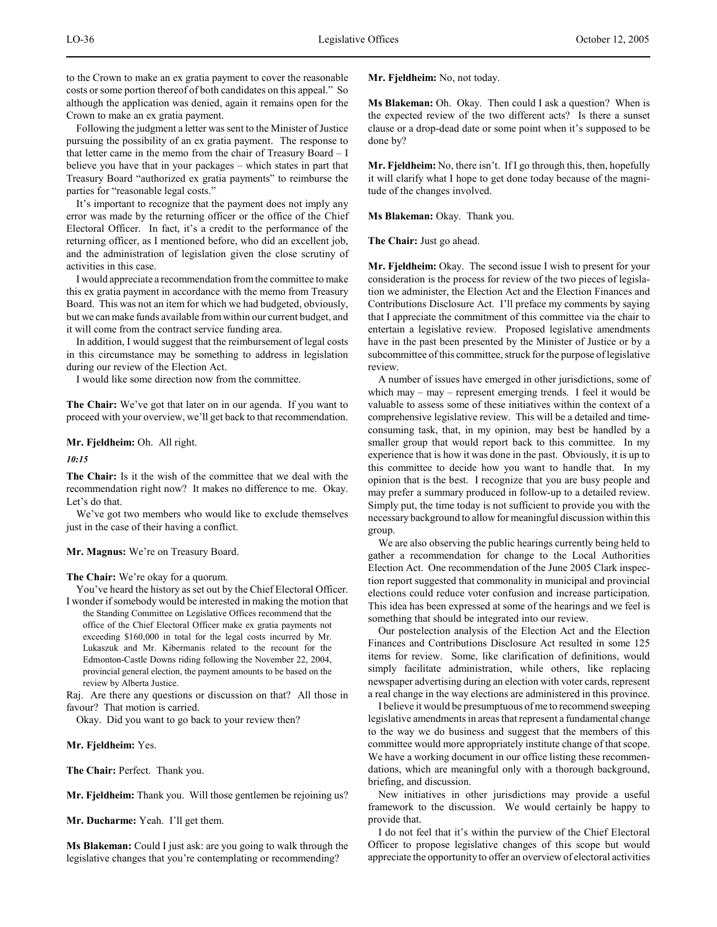to the Crown to make an ex gratia payment to cover the reasonable costs or some portion thereof of both candidates on this appeal." So although the application was denied, again it remains open for the Crown to make an ex gratia payment.

Following the judgment a letter was sent to the Minister of Justice pursuing the possibility of an ex gratia payment. The response to that letter came in the memo from the chair of Treasury Board – I believe you have that in your packages – which states in part that Treasury Board "authorized ex gratia payments" to reimburse the parties for "reasonable legal costs."

It's important to recognize that the payment does not imply any error was made by the returning officer or the office of the Chief Electoral Officer. In fact, it's a credit to the performance of the returning officer, as I mentioned before, who did an excellent job, and the administration of legislation given the close scrutiny of activities in this case.

I would appreciate a recommendation from the committee to make this ex gratia payment in accordance with the memo from Treasury Board. This was not an item for which we had budgeted, obviously, but we can make funds available from within our current budget, and it will come from the contract service funding area.

In addition, I would suggest that the reimbursement of legal costs in this circumstance may be something to address in legislation during our review of the Election Act.

I would like some direction now from the committee.

**The Chair:** We've got that later on in our agenda. If you want to proceed with your overview, we'll get back to that recommendation.

**Mr. Fjeldheim:** Oh. All right.

*10:15*

**The Chair:** Is it the wish of the committee that we deal with the recommendation right now? It makes no difference to me. Okay. Let's do that.

We've got two members who would like to exclude themselves just in the case of their having a conflict.

**Mr. Magnus:** We're on Treasury Board.

**The Chair:** We're okay for a quorum.

You've heard the history as set out by the Chief Electoral Officer. I wonder if somebody would be interested in making the motion that

the Standing Committee on Legislative Offices recommend that the office of the Chief Electoral Officer make ex gratia payments not exceeding \$160,000 in total for the legal costs incurred by Mr. Lukaszuk and Mr. Kibermanis related to the recount for the Edmonton-Castle Downs riding following the November 22, 2004, provincial general election, the payment amounts to be based on the review by Alberta Justice.

Raj. Are there any questions or discussion on that? All those in favour? That motion is carried.

Okay. Did you want to go back to your review then?

**Mr. Fjeldheim:** Yes.

**The Chair:** Perfect. Thank you.

**Mr. Fjeldheim:** Thank you. Will those gentlemen be rejoining us?

**Mr. Ducharme:** Yeah. I'll get them.

**Ms Blakeman:** Could I just ask: are you going to walk through the legislative changes that you're contemplating or recommending?

**Mr. Fjeldheim:** No, not today.

**Ms Blakeman:** Oh. Okay. Then could I ask a question? When is the expected review of the two different acts? Is there a sunset clause or a drop-dead date or some point when it's supposed to be done by?

**Mr. Fjeldheim:** No, there isn't. If I go through this, then, hopefully it will clarify what I hope to get done today because of the magnitude of the changes involved.

**Ms Blakeman:** Okay. Thank you.

**The Chair:** Just go ahead.

**Mr. Fjeldheim:** Okay. The second issue I wish to present for your consideration is the process for review of the two pieces of legislation we administer, the Election Act and the Election Finances and Contributions Disclosure Act. I'll preface my comments by saying that I appreciate the commitment of this committee via the chair to entertain a legislative review. Proposed legislative amendments have in the past been presented by the Minister of Justice or by a subcommittee of this committee, struck for the purpose of legislative review.

A number of issues have emerged in other jurisdictions, some of which may  $-$  may  $-$  represent emerging trends. I feel it would be valuable to assess some of these initiatives within the context of a comprehensive legislative review. This will be a detailed and timeconsuming task, that, in my opinion, may best be handled by a smaller group that would report back to this committee. In my experience that is how it was done in the past. Obviously, it is up to this committee to decide how you want to handle that. In my opinion that is the best. I recognize that you are busy people and may prefer a summary produced in follow-up to a detailed review. Simply put, the time today is not sufficient to provide you with the necessary background to allow for meaningful discussion within this group.

We are also observing the public hearings currently being held to gather a recommendation for change to the Local Authorities Election Act. One recommendation of the June 2005 Clark inspection report suggested that commonality in municipal and provincial elections could reduce voter confusion and increase participation. This idea has been expressed at some of the hearings and we feel is something that should be integrated into our review.

Our postelection analysis of the Election Act and the Election Finances and Contributions Disclosure Act resulted in some 125 items for review. Some, like clarification of definitions, would simply facilitate administration, while others, like replacing newspaper advertising during an election with voter cards, represent a real change in the way elections are administered in this province.

I believe it would be presumptuous of me to recommend sweeping legislative amendments in areas that represent a fundamental change to the way we do business and suggest that the members of this committee would more appropriately institute change of that scope. We have a working document in our office listing these recommendations, which are meaningful only with a thorough background, briefing, and discussion.

New initiatives in other jurisdictions may provide a useful framework to the discussion. We would certainly be happy to provide that.

I do not feel that it's within the purview of the Chief Electoral Officer to propose legislative changes of this scope but would appreciate the opportunity to offer an overview of electoral activities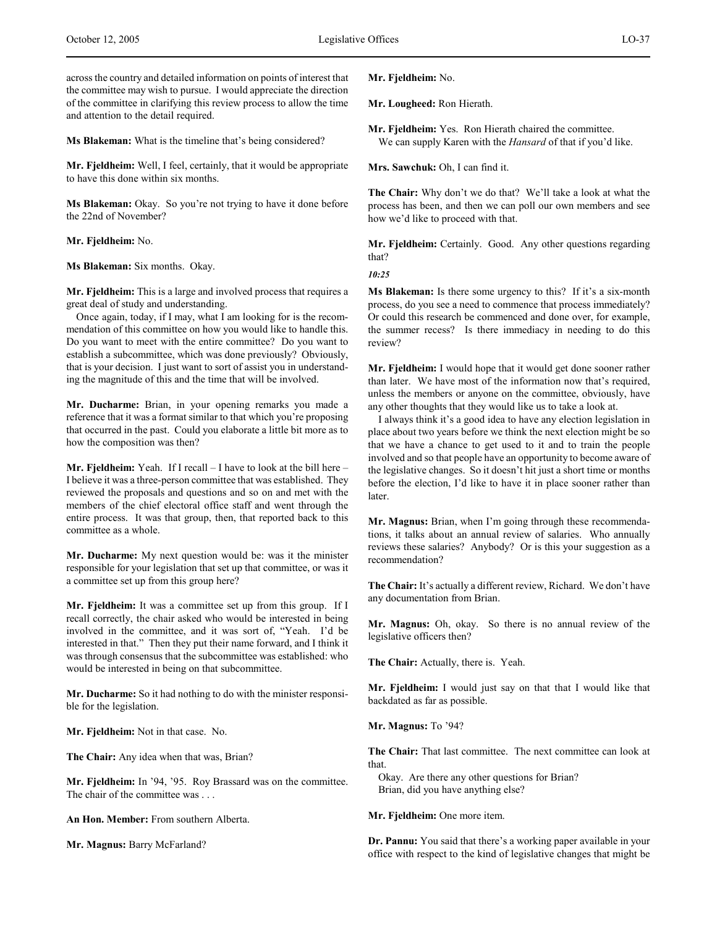across the country and detailed information on points of interest that the committee may wish to pursue. I would appreciate the direction of the committee in clarifying this review process to allow the time and attention to the detail required.

**Ms Blakeman:** What is the timeline that's being considered?

**Mr. Fjeldheim:** Well, I feel, certainly, that it would be appropriate to have this done within six months.

**Ms Blakeman:** Okay. So you're not trying to have it done before the 22nd of November?

**Mr. Fjeldheim:** No.

**Ms Blakeman:** Six months. Okay.

**Mr. Fjeldheim:** This is a large and involved process that requires a great deal of study and understanding.

Once again, today, if I may, what I am looking for is the recommendation of this committee on how you would like to handle this. Do you want to meet with the entire committee? Do you want to establish a subcommittee, which was done previously? Obviously, that is your decision. I just want to sort of assist you in understanding the magnitude of this and the time that will be involved.

**Mr. Ducharme:** Brian, in your opening remarks you made a reference that it was a format similar to that which you're proposing that occurred in the past. Could you elaborate a little bit more as to how the composition was then?

**Mr. Fjeldheim:** Yeah. If I recall – I have to look at the bill here – I believe it was a three-person committee that was established. They reviewed the proposals and questions and so on and met with the members of the chief electoral office staff and went through the entire process. It was that group, then, that reported back to this committee as a whole.

**Mr. Ducharme:** My next question would be: was it the minister responsible for your legislation that set up that committee, or was it a committee set up from this group here?

**Mr. Fjeldheim:** It was a committee set up from this group. If I recall correctly, the chair asked who would be interested in being involved in the committee, and it was sort of, "Yeah. I'd be interested in that." Then they put their name forward, and I think it was through consensus that the subcommittee was established: who would be interested in being on that subcommittee.

**Mr. Ducharme:** So it had nothing to do with the minister responsible for the legislation.

**Mr. Fjeldheim:** Not in that case. No.

**The Chair:** Any idea when that was, Brian?

**Mr. Fjeldheim:** In '94, '95. Roy Brassard was on the committee. The chair of the committee was . . .

**An Hon. Member:** From southern Alberta.

**Mr. Magnus:** Barry McFarland?

**Mr. Fjeldheim:** No.

**Mr. Lougheed:** Ron Hierath.

**Mr. Fjeldheim:** Yes. Ron Hierath chaired the committee. We can supply Karen with the *Hansard* of that if you'd like.

**Mrs. Sawchuk:** Oh, I can find it.

**The Chair:** Why don't we do that? We'll take a look at what the process has been, and then we can poll our own members and see how we'd like to proceed with that.

**Mr. Fjeldheim:** Certainly. Good. Any other questions regarding that?

*10:25*

**Ms Blakeman:** Is there some urgency to this? If it's a six-month process, do you see a need to commence that process immediately? Or could this research be commenced and done over, for example, the summer recess? Is there immediacy in needing to do this review?

**Mr. Fjeldheim:** I would hope that it would get done sooner rather than later. We have most of the information now that's required, unless the members or anyone on the committee, obviously, have any other thoughts that they would like us to take a look at.

I always think it's a good idea to have any election legislation in place about two years before we think the next election might be so that we have a chance to get used to it and to train the people involved and so that people have an opportunity to become aware of the legislative changes. So it doesn't hit just a short time or months before the election, I'd like to have it in place sooner rather than later.

**Mr. Magnus:** Brian, when I'm going through these recommendations, it talks about an annual review of salaries. Who annually reviews these salaries? Anybody? Or is this your suggestion as a recommendation?

**The Chair:** It's actually a different review, Richard. We don't have any documentation from Brian.

**Mr. Magnus:** Oh, okay. So there is no annual review of the legislative officers then?

**The Chair:** Actually, there is. Yeah.

**Mr. Fjeldheim:** I would just say on that that I would like that backdated as far as possible.

**Mr. Magnus:** To '94?

**The Chair:** That last committee. The next committee can look at that.

Okay. Are there any other questions for Brian? Brian, did you have anything else?

**Mr. Fjeldheim:** One more item.

**Dr. Pannu:** You said that there's a working paper available in your office with respect to the kind of legislative changes that might be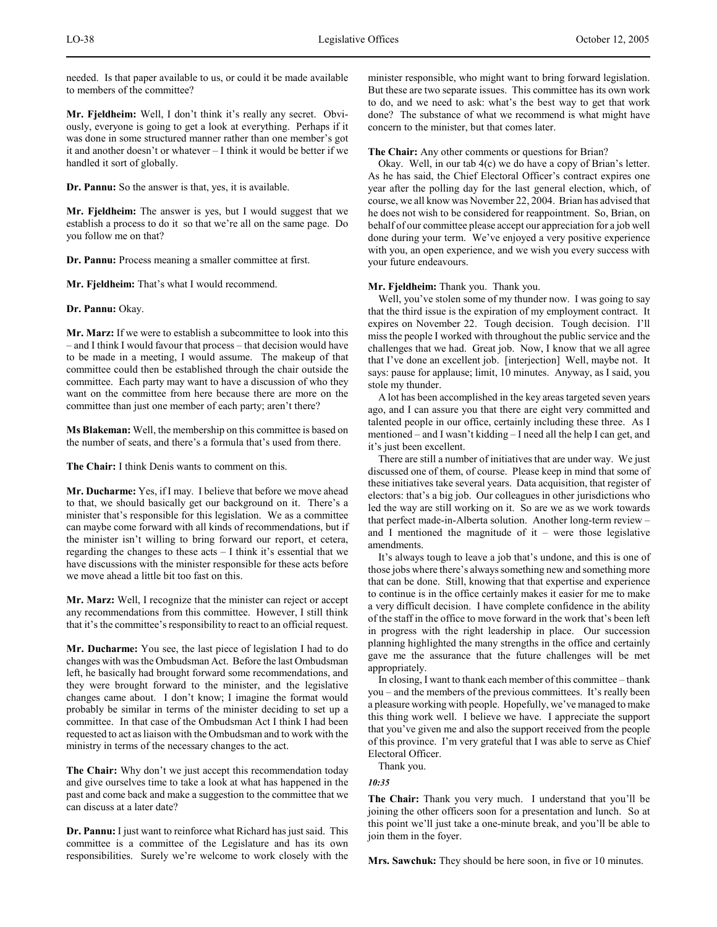needed. Is that paper available to us, or could it be made available to members of the committee?

**Mr. Fjeldheim:** Well, I don't think it's really any secret. Obviously, everyone is going to get a look at everything. Perhaps if it was done in some structured manner rather than one member's got it and another doesn't or whatever – I think it would be better if we handled it sort of globally.

**Dr. Pannu:** So the answer is that, yes, it is available.

**Mr. Fjeldheim:** The answer is yes, but I would suggest that we establish a process to do it so that we're all on the same page. Do you follow me on that?

**Dr. Pannu:** Process meaning a smaller committee at first.

**Mr. Fjeldheim:** That's what I would recommend.

**Dr. Pannu:** Okay.

**Mr. Marz:** If we were to establish a subcommittee to look into this – and I think I would favour that process – that decision would have to be made in a meeting, I would assume. The makeup of that committee could then be established through the chair outside the committee. Each party may want to have a discussion of who they want on the committee from here because there are more on the committee than just one member of each party; aren't there?

**Ms Blakeman:** Well, the membership on this committee is based on the number of seats, and there's a formula that's used from there.

**The Chair:** I think Denis wants to comment on this.

**Mr. Ducharme:** Yes, if I may. I believe that before we move ahead to that, we should basically get our background on it. There's a minister that's responsible for this legislation. We as a committee can maybe come forward with all kinds of recommendations, but if the minister isn't willing to bring forward our report, et cetera, regarding the changes to these acts – I think it's essential that we have discussions with the minister responsible for these acts before we move ahead a little bit too fast on this.

**Mr. Marz:** Well, I recognize that the minister can reject or accept any recommendations from this committee. However, I still think that it's the committee's responsibility to react to an official request.

**Mr. Ducharme:** You see, the last piece of legislation I had to do changes with was the Ombudsman Act. Before the last Ombudsman left, he basically had brought forward some recommendations, and they were brought forward to the minister, and the legislative changes came about. I don't know; I imagine the format would probably be similar in terms of the minister deciding to set up a committee. In that case of the Ombudsman Act I think I had been requested to act as liaison with the Ombudsman and to work with the ministry in terms of the necessary changes to the act.

**The Chair:** Why don't we just accept this recommendation today and give ourselves time to take a look at what has happened in the past and come back and make a suggestion to the committee that we can discuss at a later date?

**Dr. Pannu:** I just want to reinforce what Richard has just said. This committee is a committee of the Legislature and has its own responsibilities. Surely we're welcome to work closely with the

minister responsible, who might want to bring forward legislation. But these are two separate issues. This committee has its own work to do, and we need to ask: what's the best way to get that work done? The substance of what we recommend is what might have concern to the minister, but that comes later.

**The Chair:** Any other comments or questions for Brian?

Okay. Well, in our tab 4(c) we do have a copy of Brian's letter. As he has said, the Chief Electoral Officer's contract expires one year after the polling day for the last general election, which, of course, we all know was November 22, 2004. Brian has advised that he does not wish to be considered for reappointment. So, Brian, on behalf of our committee please accept our appreciation for a job well done during your term. We've enjoyed a very positive experience with you, an open experience, and we wish you every success with your future endeavours.

**Mr. Fjeldheim:** Thank you. Thank you.

Well, you've stolen some of my thunder now. I was going to say that the third issue is the expiration of my employment contract. It expires on November 22. Tough decision. Tough decision. I'll miss the people I worked with throughout the public service and the challenges that we had. Great job. Now, I know that we all agree that I've done an excellent job. [interjection] Well, maybe not. It says: pause for applause; limit, 10 minutes. Anyway, as I said, you stole my thunder.

A lot has been accomplished in the key areas targeted seven years ago, and I can assure you that there are eight very committed and talented people in our office, certainly including these three. As I mentioned – and I wasn't kidding – I need all the help I can get, and it's just been excellent.

There are still a number of initiatives that are under way. We just discussed one of them, of course. Please keep in mind that some of these initiatives take several years. Data acquisition, that register of electors: that's a big job. Our colleagues in other jurisdictions who led the way are still working on it. So are we as we work towards that perfect made-in-Alberta solution. Another long-term review – and I mentioned the magnitude of  $it$  – were those legislative amendments.

It's always tough to leave a job that's undone, and this is one of those jobs where there's always something new and something more that can be done. Still, knowing that that expertise and experience to continue is in the office certainly makes it easier for me to make a very difficult decision. I have complete confidence in the ability of the staff in the office to move forward in the work that's been left in progress with the right leadership in place. Our succession planning highlighted the many strengths in the office and certainly gave me the assurance that the future challenges will be met appropriately.

In closing, I want to thank each member of this committee – thank you – and the members of the previous committees. It's really been a pleasure working with people. Hopefully, we've managed to make this thing work well. I believe we have. I appreciate the support that you've given me and also the support received from the people of this province. I'm very grateful that I was able to serve as Chief Electoral Officer.

Thank you.

*10:35*

**The Chair:** Thank you very much. I understand that you'll be joining the other officers soon for a presentation and lunch. So at this point we'll just take a one-minute break, and you'll be able to join them in the foyer.

**Mrs. Sawchuk:** They should be here soon, in five or 10 minutes.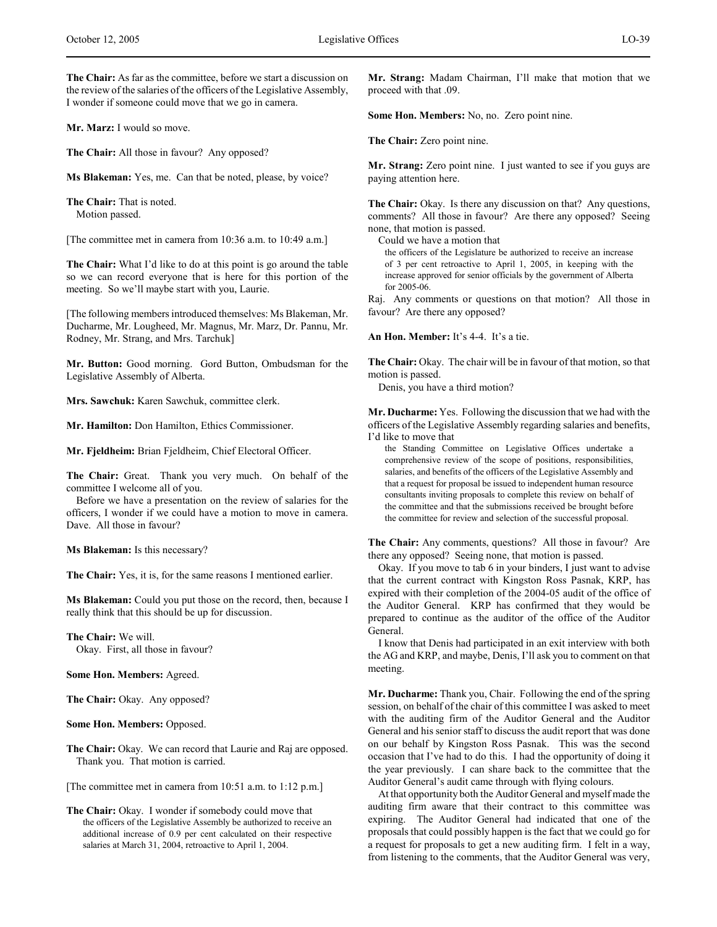**Mr. Marz:** I would so move.

**The Chair:** All those in favour? Any opposed?

**Ms Blakeman:** Yes, me. Can that be noted, please, by voice?

**The Chair:** That is noted. Motion passed.

[The committee met in camera from 10:36 a.m. to 10:49 a.m.]

**The Chair:** What I'd like to do at this point is go around the table so we can record everyone that is here for this portion of the meeting. So we'll maybe start with you, Laurie.

[The following members introduced themselves: Ms Blakeman, Mr. Ducharme, Mr. Lougheed, Mr. Magnus, Mr. Marz, Dr. Pannu, Mr. Rodney, Mr. Strang, and Mrs. Tarchuk]

**Mr. Button:** Good morning. Gord Button, Ombudsman for the Legislative Assembly of Alberta.

**Mrs. Sawchuk:** Karen Sawchuk, committee clerk.

**Mr. Hamilton:** Don Hamilton, Ethics Commissioner.

**Mr. Fjeldheim:** Brian Fjeldheim, Chief Electoral Officer.

**The Chair:** Great. Thank you very much. On behalf of the committee I welcome all of you.

Before we have a presentation on the review of salaries for the officers, I wonder if we could have a motion to move in camera. Dave. All those in favour?

**Ms Blakeman:** Is this necessary?

**The Chair:** Yes, it is, for the same reasons I mentioned earlier.

**Ms Blakeman:** Could you put those on the record, then, because I really think that this should be up for discussion.

**The Chair:** We will. Okay. First, all those in favour?

**Some Hon. Members:** Agreed.

**The Chair:** Okay. Any opposed?

**Some Hon. Members:** Opposed.

**The Chair:** Okay. We can record that Laurie and Raj are opposed. Thank you. That motion is carried.

[The committee met in camera from 10:51 a.m. to 1:12 p.m.]

**The Chair:** Okay. I wonder if somebody could move that the officers of the Legislative Assembly be authorized to receive an additional increase of 0.9 per cent calculated on their respective salaries at March 31, 2004, retroactive to April 1, 2004.

**Mr. Strang:** Madam Chairman, I'll make that motion that we proceed with that .09.

**Some Hon. Members:** No, no. Zero point nine.

**The Chair:** Zero point nine.

**Mr. Strang:** Zero point nine. I just wanted to see if you guys are paying attention here.

**The Chair:** Okay. Is there any discussion on that? Any questions, comments? All those in favour? Are there any opposed? Seeing none, that motion is passed.

Could we have a motion that

the officers of the Legislature be authorized to receive an increase of 3 per cent retroactive to April 1, 2005, in keeping with the increase approved for senior officials by the government of Alberta for 2005-06.

Raj. Any comments or questions on that motion? All those in favour? Are there any opposed?

**An Hon. Member:** It's 4-4. It's a tie.

**The Chair:** Okay. The chair will be in favour of that motion, so that motion is passed.

Denis, you have a third motion?

**Mr. Ducharme:** Yes. Following the discussion that we had with the officers of the Legislative Assembly regarding salaries and benefits, I'd like to move that

the Standing Committee on Legislative Offices undertake a comprehensive review of the scope of positions, responsibilities, salaries, and benefits of the officers of the Legislative Assembly and that a request for proposal be issued to independent human resource consultants inviting proposals to complete this review on behalf of the committee and that the submissions received be brought before the committee for review and selection of the successful proposal.

**The Chair:** Any comments, questions? All those in favour? Are there any opposed? Seeing none, that motion is passed.

Okay. If you move to tab 6 in your binders, I just want to advise that the current contract with Kingston Ross Pasnak, KRP, has expired with their completion of the 2004-05 audit of the office of the Auditor General. KRP has confirmed that they would be prepared to continue as the auditor of the office of the Auditor General.

I know that Denis had participated in an exit interview with both the AG and KRP, and maybe, Denis, I'll ask you to comment on that meeting.

**Mr. Ducharme:** Thank you, Chair. Following the end of the spring session, on behalf of the chair of this committee I was asked to meet with the auditing firm of the Auditor General and the Auditor General and his senior staff to discuss the audit report that was done on our behalf by Kingston Ross Pasnak. This was the second occasion that I've had to do this. I had the opportunity of doing it the year previously. I can share back to the committee that the Auditor General's audit came through with flying colours.

At that opportunity both the Auditor General and myself made the auditing firm aware that their contract to this committee was expiring. The Auditor General had indicated that one of the proposals that could possibly happen is the fact that we could go for a request for proposals to get a new auditing firm. I felt in a way, from listening to the comments, that the Auditor General was very,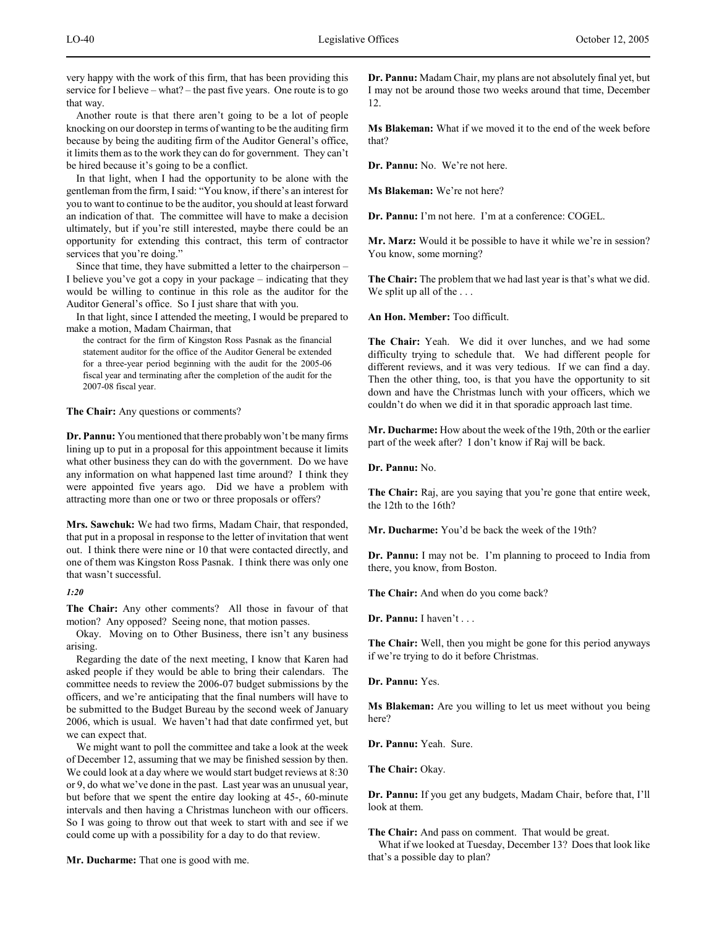very happy with the work of this firm, that has been providing this service for I believe – what? – the past five years. One route is to go that way.

Another route is that there aren't going to be a lot of people knocking on our doorstep in terms of wanting to be the auditing firm because by being the auditing firm of the Auditor General's office, it limits them as to the work they can do for government. They can't be hired because it's going to be a conflict.

In that light, when I had the opportunity to be alone with the gentleman from the firm, I said: "You know, if there's an interest for you to want to continue to be the auditor, you should at least forward an indication of that. The committee will have to make a decision ultimately, but if you're still interested, maybe there could be an opportunity for extending this contract, this term of contractor services that you're doing.'

Since that time, they have submitted a letter to the chairperson – I believe you've got a copy in your package – indicating that they would be willing to continue in this role as the auditor for the Auditor General's office. So I just share that with you.

In that light, since I attended the meeting, I would be prepared to make a motion, Madam Chairman, that

the contract for the firm of Kingston Ross Pasnak as the financial statement auditor for the office of the Auditor General be extended for a three-year period beginning with the audit for the 2005-06 fiscal year and terminating after the completion of the audit for the 2007-08 fiscal year.

**The Chair:** Any questions or comments?

**Dr. Pannu:** You mentioned that there probably won't be many firms lining up to put in a proposal for this appointment because it limits what other business they can do with the government. Do we have any information on what happened last time around? I think they were appointed five years ago. Did we have a problem with attracting more than one or two or three proposals or offers?

**Mrs. Sawchuk:** We had two firms, Madam Chair, that responded, that put in a proposal in response to the letter of invitation that went out. I think there were nine or 10 that were contacted directly, and one of them was Kingston Ross Pasnak. I think there was only one that wasn't successful.

*1:20*

**The Chair:** Any other comments? All those in favour of that motion? Any opposed? Seeing none, that motion passes.

Okay. Moving on to Other Business, there isn't any business arising.

Regarding the date of the next meeting, I know that Karen had asked people if they would be able to bring their calendars. The committee needs to review the 2006-07 budget submissions by the officers, and we're anticipating that the final numbers will have to be submitted to the Budget Bureau by the second week of January 2006, which is usual. We haven't had that date confirmed yet, but we can expect that.

We might want to poll the committee and take a look at the week of December 12, assuming that we may be finished session by then. We could look at a day where we would start budget reviews at 8:30 or 9, do what we've done in the past. Last year was an unusual year, but before that we spent the entire day looking at 45-, 60-minute intervals and then having a Christmas luncheon with our officers. So I was going to throw out that week to start with and see if we could come up with a possibility for a day to do that review.

**Mr. Ducharme:** That one is good with me.

**Dr. Pannu:** Madam Chair, my plans are not absolutely final yet, but I may not be around those two weeks around that time, December 12.

**Ms Blakeman:** What if we moved it to the end of the week before that?

**Dr. Pannu:** No. We're not here.

**Ms Blakeman:** We're not here?

**Dr. Pannu:** I'm not here. I'm at a conference: COGEL.

**Mr. Marz:** Would it be possible to have it while we're in session? You know, some morning?

**The Chair:** The problem that we had last year is that's what we did. We split up all of the ...

**An Hon. Member:** Too difficult.

**The Chair:** Yeah. We did it over lunches, and we had some difficulty trying to schedule that. We had different people for different reviews, and it was very tedious. If we can find a day. Then the other thing, too, is that you have the opportunity to sit down and have the Christmas lunch with your officers, which we couldn't do when we did it in that sporadic approach last time.

**Mr. Ducharme:** How about the week of the 19th, 20th or the earlier part of the week after? I don't know if Raj will be back.

**Dr. Pannu:** No.

**The Chair:** Raj, are you saying that you're gone that entire week, the 12th to the 16th?

**Mr. Ducharme:** You'd be back the week of the 19th?

**Dr. Pannu:** I may not be. I'm planning to proceed to India from there, you know, from Boston.

**The Chair:** And when do you come back?

**Dr. Pannu:** I haven't . . .

**The Chair:** Well, then you might be gone for this period anyways if we're trying to do it before Christmas.

**Dr. Pannu:** Yes.

**Ms Blakeman:** Are you willing to let us meet without you being here?

**Dr. Pannu:** Yeah. Sure.

**The Chair:** Okay.

**Dr. Pannu:** If you get any budgets, Madam Chair, before that, I'll look at them.

**The Chair:** And pass on comment. That would be great. What if we looked at Tuesday, December 13? Does that look like that's a possible day to plan?